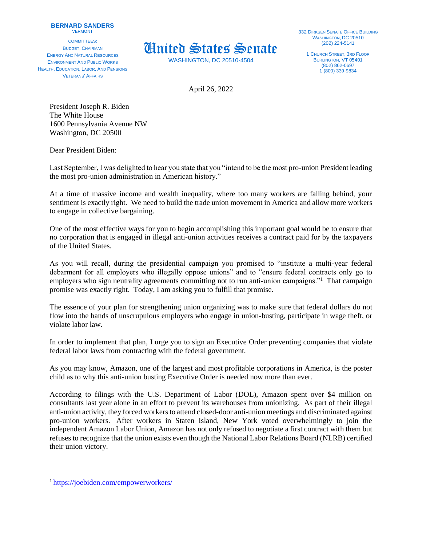## **BERNARD SANDERS** VERMONT

COMMITTEES: BUDGET, CHAIRMAN ENERGY AND NATURAL RESOURCES ENVIRONMENT AND PUBLIC WORKS HEALTH, EDUCATION, LABOR, AND PENSIONS VETERANS' AFFAIRS



WASHINGTON, DC 20510-4504

1 CHURCH STREET, 3RD FLOOR BURLINGTON, VT 05401 (802) 862-0697 1 (800) 339-9834

April 26, 2022

President Joseph R. Biden The White House 1600 Pennsylvania Avenue NW Washington, DC 20500

Dear President Biden:

Last September, I was delighted to hear you state that you "intend to be the most pro-union President leading the most pro-union administration in American history."

At a time of massive income and wealth inequality, where too many workers are falling behind, your sentiment is exactly right. We need to build the trade union movement in America and allow more workers to engage in collective bargaining.

One of the most effective ways for you to begin accomplishing this important goal would be to ensure that no corporation that is engaged in illegal anti-union activities receives a contract paid for by the taxpayers of the United States.

As you will recall, during the presidential campaign you promised to "institute a multi-year federal debarment for all employers who illegally oppose unions" and to "ensure federal contracts only go to employers who sign neutrality agreements committing not to run anti-union campaigns."<sup>1</sup> That campaign promise was exactly right. Today, I am asking you to fulfill that promise.

The essence of your plan for strengthening union organizing was to make sure that federal dollars do not flow into the hands of unscrupulous employers who engage in union-busting, participate in wage theft, or violate labor law.

In order to implement that plan, I urge you to sign an Executive Order preventing companies that violate federal labor laws from contracting with the federal government.

As you may know, Amazon, one of the largest and most profitable corporations in America, is the poster child as to why this anti-union busting Executive Order is needed now more than ever.

According to filings with the U.S. Department of Labor (DOL), Amazon spent over \$4 million on consultants last year alone in an effort to prevent its warehouses from unionizing. As part of their illegal anti-union activity, they forced workersto attend closed-door anti-union meetings and discriminated against pro-union workers. After workers in Staten Island, New York voted overwhelmingly to join the independent Amazon Labor Union, Amazon has not only refused to negotiate a first contract with them but refuses to recognize that the union exists even though the National Labor Relations Board (NLRB) certified their union victory.

<sup>1</sup> <https://joebiden.com/empowerworkers/>